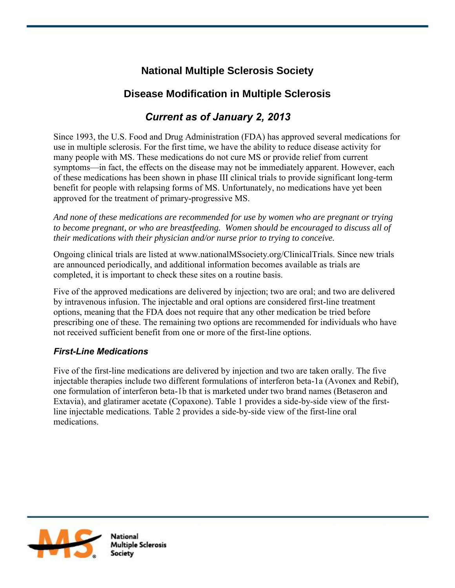# **National Multiple Sclerosis Society**

# **Disease Modification in Multiple Sclerosis**

# *Current as of January 2, 2013*

Since 1993, the U.S. Food and Drug Administration (FDA) has approved several medications for use in multiple sclerosis. For the first time, we have the ability to reduce disease activity for many people with MS. These medications do not cure MS or provide relief from current symptoms—in fact, the effects on the disease may not be immediately apparent. However, each of these medications has been shown in phase III clinical trials to provide significant long-term benefit for people with relapsing forms of MS. Unfortunately, no medications have yet been approved for the treatment of primary-progressive MS.

*And none of these medications are recommended for use by women who are pregnant or trying to become pregnant, or who are breastfeeding. Women should be encouraged to discuss all of their medications with their physician and/or nurse prior to trying to conceive.*

Ongoing clinical trials are listed at www.nationalMSsociety.org/ClinicalTrials. Since new trials are announced periodically, and additional information becomes available as trials are completed, it is important to check these sites on a routine basis.

Five of the approved medications are delivered by injection; two are oral; and two are delivered by intravenous infusion. The injectable and oral options are considered first-line treatment options, meaning that the FDA does not require that any other medication be tried before prescribing one of these. The remaining two options are recommended for individuals who have not received sufficient benefit from one or more of the first-line options.

# *First-Line Medications*

Five of the first-line medications are delivered by injection and two are taken orally. The five injectable therapies include two different formulations of interferon beta-1a (Avonex and Rebif), one formulation of interferon beta-1b that is marketed under two brand names (Betaseron and Extavia), and glatiramer acetate (Copaxone). Table 1 provides a side-by-side view of the firstline injectable medications. Table 2 provides a side-by-side view of the first-line oral medications.

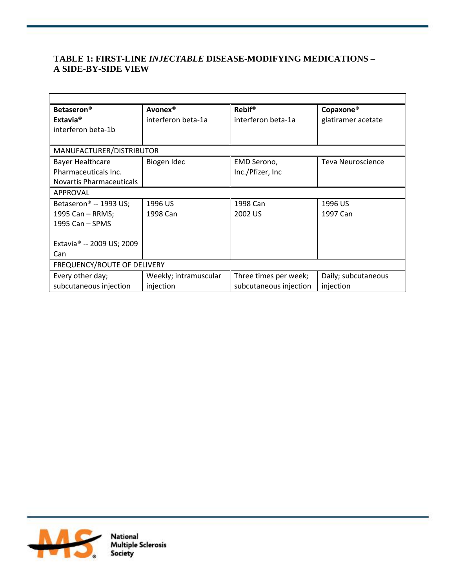# **TABLE 1: FIRST-LINE** *INJECTABLE* **DISEASE-MODIFYING MEDICATIONS – A SIDE-BY-SIDE VIEW**

| <b>Betaseron®</b>                     | Avonex®               | <b>Rebif®</b>          | Copaxone <sup>®</sup>    |  |
|---------------------------------------|-----------------------|------------------------|--------------------------|--|
| Extavia <sup>®</sup>                  | interferon beta-1a    | interferon beta-1a     | glatiramer acetate       |  |
| interferon beta-1b                    |                       |                        |                          |  |
|                                       |                       |                        |                          |  |
| MANUFACTURER/DISTRIBUTOR              |                       |                        |                          |  |
| <b>Bayer Healthcare</b>               | Biogen Idec           | EMD Serono,            | <b>Teva Neuroscience</b> |  |
| Pharmaceuticals Inc.                  |                       | Inc./Pfizer, Inc.      |                          |  |
| Novartis Pharmaceuticals              |                       |                        |                          |  |
| APPROVAL                              |                       |                        |                          |  |
| Betaseron <sup>®</sup> -- 1993 US;    | 1996 US               | 1998 Can               | 1996 US                  |  |
| 1995 Can - RRMS;                      | 1998 Can              | 2002 US                | 1997 Can                 |  |
| 1995 Can - SPMS                       |                       |                        |                          |  |
|                                       |                       |                        |                          |  |
| Extavia <sup>®</sup> -- 2009 US; 2009 |                       |                        |                          |  |
| Can                                   |                       |                        |                          |  |
| FREQUENCY/ROUTE OF DELIVERY           |                       |                        |                          |  |
| Every other day;                      | Weekly; intramuscular | Three times per week;  | Daily; subcutaneous      |  |
| subcutaneous injection                | injection             | subcutaneous injection | injection                |  |

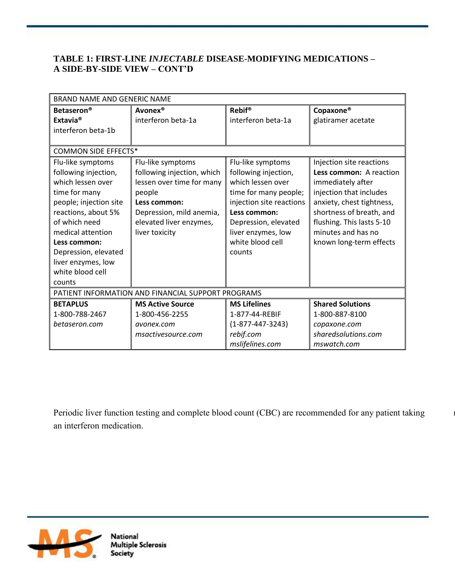## **TABLE 1: FIRST-LINE** *INJECTABLE* **DISEASE-MODIFYING MEDICATIONS – A SIDE-BY-SIDE VIEW – CONT'D**

| <b>BRAND NAME AND GENERIC NAME</b>                 |                            |                          |                           |  |
|----------------------------------------------------|----------------------------|--------------------------|---------------------------|--|
| <b>Betaseron<sup>®</sup></b>                       | Avonex <sup>®</sup>        | <b>Rebif®</b>            | Copaxone <sup>®</sup>     |  |
| Extavia <sup>®</sup>                               | interferon beta-1a         | interferon beta-1a       | glatiramer acetate        |  |
| interferon beta-1b                                 |                            |                          |                           |  |
|                                                    |                            |                          |                           |  |
| <b>COMMON SIDE EFFECTS*</b>                        |                            |                          |                           |  |
| Flu-like symptoms                                  | Flu-like symptoms          | Flu-like symptoms        | Injection site reactions  |  |
| following injection,                               | following injection, which | following injection,     | Less common: A reaction   |  |
| which lessen over                                  | lessen over time for many  | which lessen over        | immediately after         |  |
| time for many                                      | people                     | time for many people;    | injection that includes   |  |
| people; injection site                             | Less common:               | injection site reactions | anxiety, chest tightness, |  |
| reactions, about 5%                                | Depression, mild anemia,   | Less common:             | shortness of breath, and  |  |
| of which need                                      | elevated liver enzymes,    | Depression, elevated     | flushing. This lasts 5-10 |  |
| medical attention                                  | liver toxicity             | liver enzymes, low       | minutes and has no        |  |
| Less common:                                       |                            | white blood cell         | known long-term effects   |  |
| Depression, elevated                               |                            | counts                   |                           |  |
| liver enzymes, low                                 |                            |                          |                           |  |
| white blood cell                                   |                            |                          |                           |  |
| counts                                             |                            |                          |                           |  |
| PATIENT INFORMATION AND FINANCIAL SUPPORT PROGRAMS |                            |                          |                           |  |
| <b>BETAPLUS</b>                                    | <b>MS Active Source</b>    | <b>MS Lifelines</b>      | <b>Shared Solutions</b>   |  |
| 1-800-788-2467                                     | 1-800-456-2255             | 1-877-44-REBIF           | 1-800-887-8100            |  |
| betaseron.com                                      | avonex.com                 | $(1 - 877 - 447 - 3243)$ | copaxone.com              |  |
|                                                    | msactivesource.com         | rebif.com                | sharedsolutions.com       |  |
|                                                    |                            | mslifelines.com          | mswatch.com               |  |

Periodic liver function testing and complete blood count (CBC) are recommended for any patient taking an interferon medication.

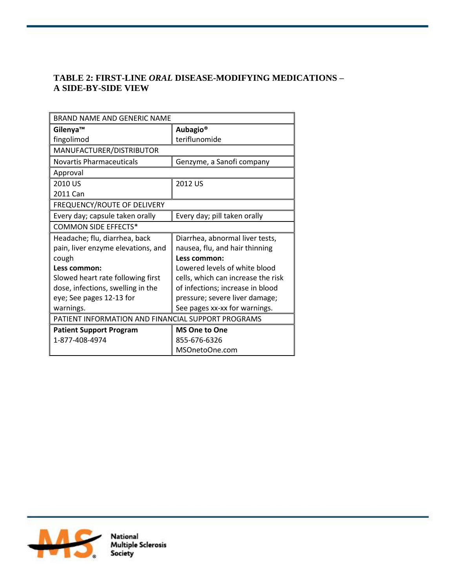## **TABLE 2: FIRST-LINE** *ORAL* **DISEASE-MODIFYING MEDICATIONS – A SIDE-BY-SIDE VIEW**

| BRAND NAME AND GENERIC NAME                        |                                    |  |
|----------------------------------------------------|------------------------------------|--|
| Gilenya™                                           | <b>Aubagio<sup>®</sup></b>         |  |
| fingolimod                                         | teriflunomide                      |  |
| MANUFACTURER/DISTRIBUTOR                           |                                    |  |
| <b>Novartis Pharmaceuticals</b>                    | Genzyme, a Sanofi company          |  |
| Approval                                           |                                    |  |
| 2010 US                                            | 2012 US                            |  |
| 2011 Can                                           |                                    |  |
| FREQUENCY/ROUTE OF DELIVERY                        |                                    |  |
| Every day; capsule taken orally                    | Every day; pill taken orally       |  |
| <b>COMMON SIDE EFFECTS*</b>                        |                                    |  |
| Headache; flu, diarrhea, back                      | Diarrhea, abnormal liver tests,    |  |
| pain, liver enzyme elevations, and                 | nausea, flu, and hair thinning     |  |
| cough                                              | Less common:                       |  |
| Less common:                                       | Lowered levels of white blood      |  |
| Slowed heart rate following first                  | cells, which can increase the risk |  |
| dose, infections, swelling in the                  | of infections; increase in blood   |  |
| eye; See pages 12-13 for                           | pressure; severe liver damage;     |  |
| warnings.                                          | See pages xx-xx for warnings.      |  |
| PATIENT INFORMATION AND FINANCIAL SUPPORT PROGRAMS |                                    |  |
| <b>Patient Support Program</b>                     | <b>MS One to One</b>               |  |
| 1-877-408-4974                                     | 855-676-6326                       |  |
|                                                    | MSOnetoOne.com                     |  |



National<br>Multiple Sclerosis<br>Society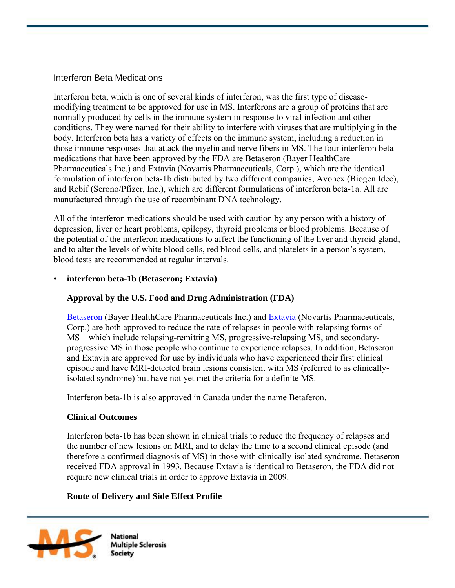#### Interferon Beta Medications

Interferon beta, which is one of several kinds of interferon, was the first type of diseasemodifying treatment to be approved for use in MS. Interferons are a group of proteins that are normally produced by cells in the immune system in response to viral infection and other conditions. They were named for their ability to interfere with viruses that are multiplying in the body. Interferon beta has a variety of effects on the immune system, including a reduction in those immune responses that attack the myelin and nerve fibers in MS. The four interferon beta medications that have been approved by the FDA are Betaseron (Bayer HealthCare Pharmaceuticals Inc.) and Extavia (Novartis Pharmaceuticals, Corp.), which are the identical formulation of interferon beta-1b distributed by two different companies; Avonex (Biogen Idec), and Rebif (Serono/Pfizer, Inc.), which are different formulations of interferon beta-1a. All are manufactured through the use of recombinant DNA technology.

All of the interferon medications should be used with caution by any person with a history of depression, liver or heart problems, epilepsy, thyroid problems or blood problems. Because of the potential of the interferon medications to affect the functioning of the liver and thyroid gland, and to alter the levels of white blood cells, red blood cells, and platelets in a person's system, blood tests are recommended at regular intervals.

### **• interferon beta-1b (Betaseron; Extavia)**

## **Approval by the U.S. Food and Drug Administration (FDA)**

[Betaseron](http://berlex.bayerhealthcare.com/html/products/pi/Betaseron_PI.pdf) (Bayer HealthCare Pharmaceuticals Inc.) and [Extavia](http://www.pharma.us.novartis.com/product/pi/pdf/extavia.pdf) (Novartis Pharmaceuticals, Corp.) are both approved to reduce the rate of relapses in people with relapsing forms of MS—which include relapsing-remitting MS, progressive-relapsing MS, and secondaryprogressive MS in those people who continue to experience relapses. In addition, Betaseron and Extavia are approved for use by individuals who have experienced their first clinical episode and have MRI-detected brain lesions consistent with MS (referred to as clinicallyisolated syndrome) but have not yet met the criteria for a definite MS.

Interferon beta-1b is also approved in Canada under the name Betaferon.

### **Clinical Outcomes**

 Interferon beta-1b has been shown in clinical trials to reduce the frequency of relapses and the number of new lesions on MRI, and to delay the time to a second clinical episode (and therefore a confirmed diagnosis of MS) in those with clinically-isolated syndrome. Betaseron received FDA approval in 1993. Because Extavia is identical to Betaseron, the FDA did not require new clinical trials in order to approve Extavia in 2009.

### **Route of Delivery and Side Effect Profile**

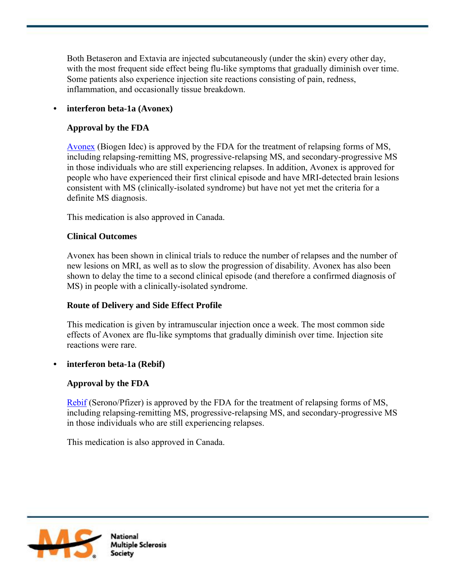Both Betaseron and Extavia are injected subcutaneously (under the skin) every other day, with the most frequent side effect being flu-like symptoms that gradually diminish over time. Some patients also experience injection site reactions consisting of pain, redness, inflammation, and occasionally tissue breakdown.

# **• interferon beta-1a (Avonex)**

# **Approval by the FDA**

[Avonex](http://www.avonex.com/pdfs/pi-syringe.pdf) (Biogen Idec) is approved by the FDA for the treatment of relapsing forms of MS, including relapsing-remitting MS, progressive-relapsing MS, and secondary-progressive MS in those individuals who are still experiencing relapses. In addition, Avonex is approved for people who have experienced their first clinical episode and have MRI-detected brain lesions consistent with MS (clinically-isolated syndrome) but have not yet met the criteria for a definite MS diagnosis.

This medication is also approved in Canada.

## **Clinical Outcomes**

 Avonex has been shown in clinical trials to reduce the number of relapses and the number of new lesions on MRI, as well as to slow the progression of disability. Avonex has also been shown to delay the time to a second clinical episode (and therefore a confirmed diagnosis of MS) in people with a clinically-isolated syndrome.

## **Route of Delivery and Side Effect Profile**

 This medication is given by intramuscular injection once a week. The most common side effects of Avonex are flu-like symptoms that gradually diminish over time. Injection site reactions were rare.

## **• interferon beta-1a (Rebif)**

## **Approval by the FDA**

[Rebif](http://www.emdserono.com/cmg.emdserono_us/en/images/rebif_tcm115_19765.pdf) (Serono/Pfizer) is approved by the FDA for the treatment of relapsing forms of MS, including relapsing-remitting MS, progressive-relapsing MS, and secondary-progressive MS in those individuals who are still experiencing relapses.

This medication is also approved in Canada.

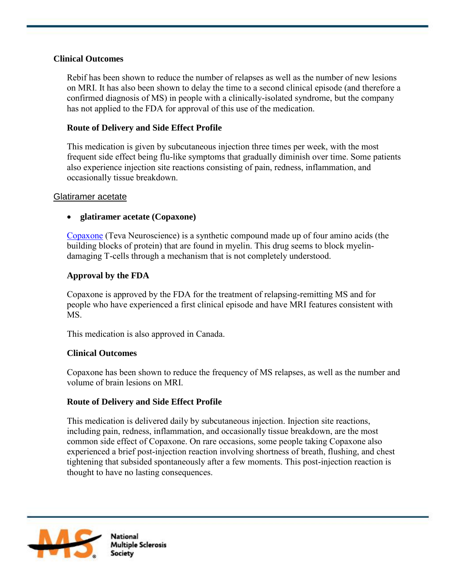### **Clinical Outcomes**

 Rebif has been shown to reduce the number of relapses as well as the number of new lesions on MRI. It has also been shown to delay the time to a second clinical episode (and therefore a confirmed diagnosis of MS) in people with a clinically-isolated syndrome, but the company has not applied to the FDA for approval of this use of the medication.

### **Route of Delivery and Side Effect Profile**

 This medication is given by subcutaneous injection three times per week, with the most frequent side effect being flu-like symptoms that gradually diminish over time. Some patients also experience injection site reactions consisting of pain, redness, inflammation, and occasionally tissue breakdown.

### Glatiramer acetate

### **glatiramer acetate (Copaxone)**

[Copaxone](http://www.accessdata.fda.gov/drugsatfda_docs/label/2009/020622s057lbl.pdf) (Teva Neuroscience) is a synthetic compound made up of four amino acids (the building blocks of protein) that are found in myelin. This drug seems to block myelindamaging T-cells through a mechanism that is not completely understood.

### **Approval by the FDA**

 Copaxone is approved by the FDA for the treatment of relapsing-remitting MS and for people who have experienced a first clinical episode and have MRI features consistent with MS.

This medication is also approved in Canada.

### **Clinical Outcomes**

 Copaxone has been shown to reduce the frequency of MS relapses, as well as the number and volume of brain lesions on MRI.

### **Route of Delivery and Side Effect Profile**

 This medication is delivered daily by subcutaneous injection. Injection site reactions, including pain, redness, inflammation, and occasionally tissue breakdown, are the most common side effect of Copaxone. On rare occasions, some people taking Copaxone also experienced a brief post-injection reaction involving shortness of breath, flushing, and chest tightening that subsided spontaneously after a few moments. This post-injection reaction is thought to have no lasting consequences.

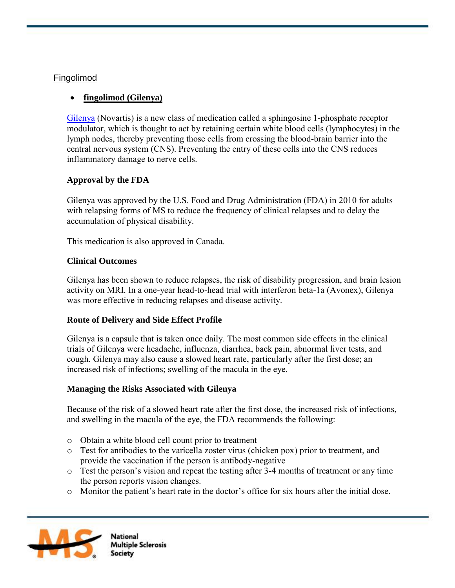### Fingolimod

# **fingolimod (Gilenya)**

[Gilenya](http://www.pharma.us.novartis.com/product/pi/pdf/gilenya.pdf) (Novartis) is a new class of medication called a sphingosine 1-phosphate receptor modulator, which is thought to act by retaining certain white blood cells (lymphocytes) in the lymph nodes, thereby preventing those cells from crossing the blood-brain barrier into the central nervous system (CNS). Preventing the entry of these cells into the CNS reduces inflammatory damage to nerve cells.

# **Approval by the FDA**

Gilenya was approved by the U.S. Food and Drug Administration (FDA) in 2010 for adults with relapsing forms of MS to reduce the frequency of clinical relapses and to delay the accumulation of physical disability.

This medication is also approved in Canada.

### **Clinical Outcomes**

Gilenya has been shown to reduce relapses, the risk of disability progression, and brain lesion activity on MRI. In a one-year head-to-head trial with interferon beta-1a (Avonex), Gilenya was more effective in reducing relapses and disease activity.

### **Route of Delivery and Side Effect Profile**

Gilenya is a capsule that is taken once daily. The most common side effects in the clinical trials of Gilenya were headache, influenza, diarrhea, back pain, abnormal liver tests, and cough. Gilenya may also cause a slowed heart rate, particularly after the first dose; an increased risk of infections; swelling of the macula in the eye.

### **Managing the Risks Associated with Gilenya**

Because of the risk of a slowed heart rate after the first dose, the increased risk of infections, and swelling in the macula of the eye, the FDA recommends the following:

- o Obtain a white blood cell count prior to treatment
- o Test for antibodies to the varicella zoster virus (chicken pox) prior to treatment, and provide the vaccination if the person is antibody-negative
- o Test the person's vision and repeat the testing after 3-4 months of treatment or any time the person reports vision changes.
- o Monitor the patient's heart rate in the doctor's office for six hours after the initial dose.

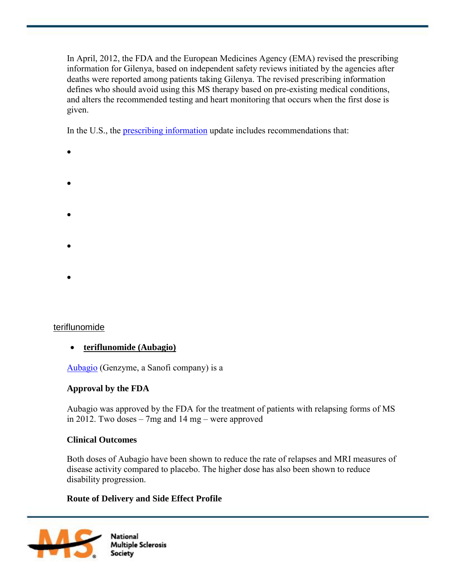In April, 2012, the FDA and the European Medicines Agency (EMA) revised the prescribing information for Gilenya, based on independent safety reviews initiated by the agencies after deaths were reported among patients taking Gilenya. The revised prescribing information defines who should avoid using this MS therapy based on pre-existing medical conditions, and alters the recommended testing and heart monitoring that occurs when the first dose is given.

In the U.S., the [prescribing information](http://www.pharma.us.novartis.com/product/pi/pdf/gilenya.pdf) update includes recommendations that:

- $\bullet$  starting treatment with Gilenya should have an electrocardiogram prior to the to the to the to the to the to the to the to the to the to the to the to the to the to the to the to the to the to the to the to the to th
- $\bullet$  first-dose monitoring indicates potentially unsafe heart events may require  $\bullet$
- $\Theta$  is not advisable for people who had a history or people who had a history or presence of specific heart
- 
- $\bullet$  any patient with a pre-existing heart condition that is started on Gilenya should be started on  $G$
- $\bullet$  the heart function monitoring applies only to people initiating the initiating their first dose, and not to

# teriflunomide

# **teriflunomide (Aubagio)**

[Aubagio](http://products.sanofi.us/aubagio/aubagio.pdf) (Genzyme, a Sanofi company) is a

# **Approval by the FDA**

Aubagio was approved by the FDA for the treatment of patients with relapsing forms of MS in 2012. Two doses – 7mg and 14 mg – were approved

# **Clinical Outcomes**

Both doses of Aubagio have been shown to reduce the rate of relapses and MRI measures of disease activity compared to placebo. The higher dose has also been shown to reduce disability progression.

# **Route of Delivery and Side Effect Profile**

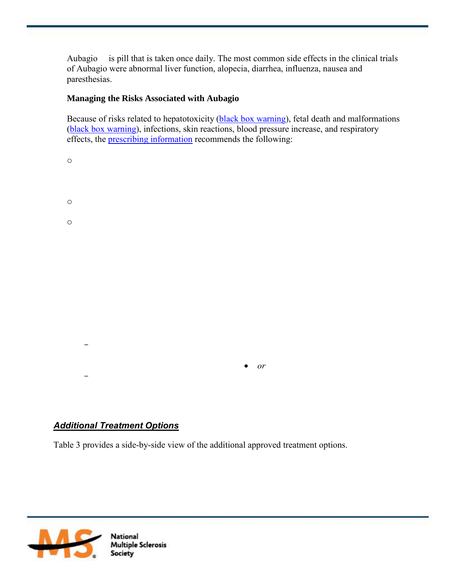Aubagio is pill that is taken once daily. The most common side effects in the clinical trials of Aubagio were abnormal liver function, alopecia, diarrhea, influenza, nausea and paresthesias.

## **Managing the Risks Associated with Aubagio**

Because of risks related to hepatotoxicity [\(black box warning\)](http://products.sanofi.us/aubagio/aubagio.pdf), fetal death and malformations [\(black box warning\)](http://products.sanofi.us/aubagio/aubagio.pdf), infections, skin reactions, blood pressure increase, and respiratory effects, the [prescribing information](http://products.sanofi.us/aubagio/aubagio.pdf) recommends the following:

| $\circ$ |                          |  |
|---------|--------------------------|--|
| $\circ$ |                          |  |
| $\circ$ |                          |  |
|         |                          |  |
|         |                          |  |
|         |                          |  |
|         |                          |  |
|         |                          |  |
|         | $\emph{or}$<br>$\bullet$ |  |
|         |                          |  |

# *Additional Treatment Options*

Table 3 provides a side-by-side view of the additional approved treatment options.

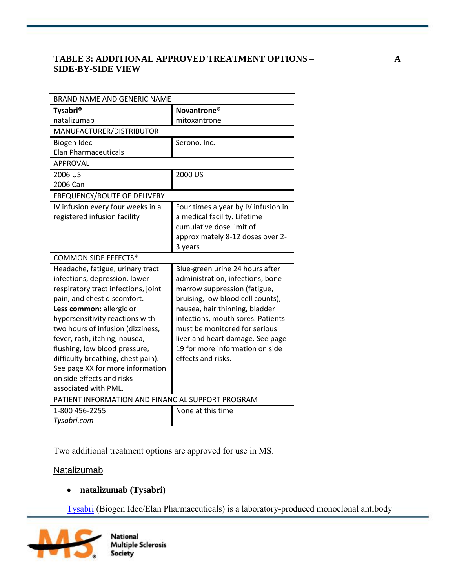## **TABLE 3: ADDITIONAL APPROVED TREATMENT OPTIONS – A SIDE-BY-SIDE VIEW**

| BRAND NAME AND GENERIC NAME                       |                                     |  |  |
|---------------------------------------------------|-------------------------------------|--|--|
| <b>Tysabri®</b>                                   | Novantrone <sup>®</sup>             |  |  |
| natalizumab                                       | mitoxantrone                        |  |  |
| MANUFACTURER/DISTRIBUTOR                          |                                     |  |  |
| Biogen Idec                                       | Serono, Inc.                        |  |  |
| <b>Elan Pharmaceuticals</b>                       |                                     |  |  |
| <b>APPROVAL</b>                                   |                                     |  |  |
| 2006 US                                           | 2000 US                             |  |  |
| 2006 Can                                          |                                     |  |  |
| FREQUENCY/ROUTE OF DELIVERY                       |                                     |  |  |
| IV infusion every four weeks in a                 | Four times a year by IV infusion in |  |  |
| registered infusion facility                      | a medical facility. Lifetime        |  |  |
|                                                   | cumulative dose limit of            |  |  |
|                                                   | approximately 8-12 doses over 2-    |  |  |
|                                                   | 3 years                             |  |  |
| <b>COMMON SIDE EFFECTS*</b>                       |                                     |  |  |
| Headache, fatigue, urinary tract                  | Blue-green urine 24 hours after     |  |  |
| infections, depression, lower                     | administration, infections, bone    |  |  |
| respiratory tract infections, joint               | marrow suppression (fatigue,        |  |  |
| pain, and chest discomfort.                       | bruising, low blood cell counts),   |  |  |
| Less common: allergic or                          | nausea, hair thinning, bladder      |  |  |
| hypersensitivity reactions with                   | infections, mouth sores. Patients   |  |  |
| two hours of infusion (dizziness,                 | must be monitored for serious       |  |  |
| fever, rash, itching, nausea,                     | liver and heart damage. See page    |  |  |
| flushing, low blood pressure,                     | 19 for more information on side     |  |  |
| difficulty breathing, chest pain).                | effects and risks.                  |  |  |
| See page XX for more information                  |                                     |  |  |
| on side effects and risks                         |                                     |  |  |
| associated with PML.                              |                                     |  |  |
| PATIENT INFORMATION AND FINANCIAL SUPPORT PROGRAM |                                     |  |  |
| 1-800 456-2255                                    | None at this time                   |  |  |
| Tysabri.com                                       |                                     |  |  |

Two additional treatment options are approved for use in MS.

## **Natalizumab**

## **natalizumab (Tysabri)**

[Tysabri](http://www.tysabri.com/en_US/tysb/site/pdfs/TYSABRI-pi.pdf) (Biogen Idec/Elan Pharmaceuticals) is a laboratory-produced monoclonal antibody

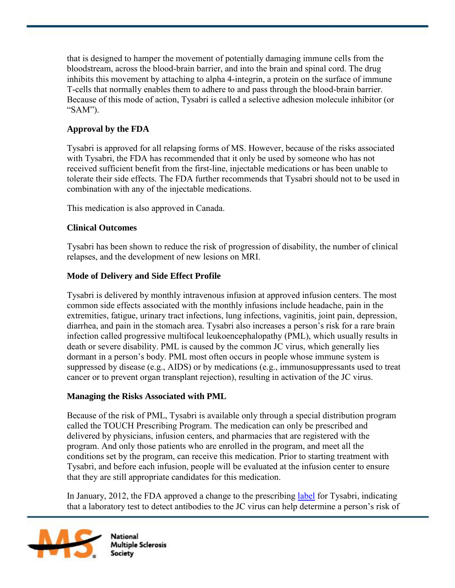that is designed to hamper the movement of potentially damaging immune cells from the bloodstream, across the blood-brain barrier, and into the brain and spinal cord. The drug inhibits this movement by attaching to alpha 4-integrin, a protein on the surface of immune T-cells that normally enables them to adhere to and pass through the blood-brain barrier. Because of this mode of action, Tysabri is called a selective adhesion molecule inhibitor (or "SAM").

# **Approval by the FDA**

 Tysabri is approved for all relapsing forms of MS. However, because of the risks associated with Tysabri, the FDA has recommended that it only be used by someone who has not received sufficient benefit from the first-line, injectable medications or has been unable to tolerate their side effects. The FDA further recommends that Tysabri should not to be used in combination with any of the injectable medications.

This medication is also approved in Canada.

## **Clinical Outcomes**

 Tysabri has been shown to reduce the risk of progression of disability, the number of clinical relapses, and the development of new lesions on MRI.

## **Mode of Delivery and Side Effect Profile**

 Tysabri is delivered by monthly intravenous infusion at approved infusion centers. The most common side effects associated with the monthly infusions include headache, pain in the extremities, fatigue, urinary tract infections, lung infections, vaginitis, joint pain, depression, diarrhea, and pain in the stomach area. Tysabri also increases a person's risk for a rare brain infection called progressive multifocal leukoencephalopathy (PML), which usually results in death or severe disability. PML is caused by the common JC virus, which generally lies dormant in a person's body. PML most often occurs in people whose immune system is suppressed by disease (e.g., AIDS) or by medications (e.g., immunosuppressants used to treat cancer or to prevent organ transplant rejection), resulting in activation of the JC virus.

## **Managing the Risks Associated with PML**

 Because of the risk of PML, Tysabri is available only through a special distribution program called the TOUCH Prescribing Program. The medication can only be prescribed and delivered by physicians, infusion centers, and pharmacies that are registered with the program. And only those patients who are enrolled in the program, and meet all the conditions set by the program, can receive this medication. Prior to starting treatment with Tysabri, and before each infusion, people will be evaluated at the infusion center to ensure that they are still appropriate candidates for this medication.

 In January, 2012, the FDA approved a change to the prescribing [label](http://www.tysabri.com/en_US/tysb/site/pdfs/TYSABRI-pi.pdf) for Tysabri, indicating that a laboratory test to detect antibodies to the JC virus can help determine a person's risk of

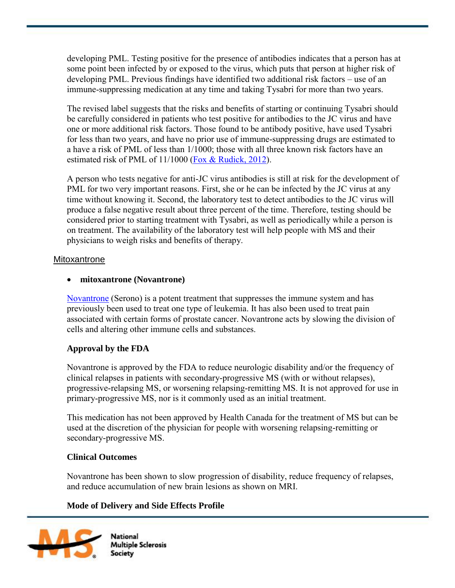developing PML. Testing positive for the presence of antibodies indicates that a person has at some point been infected by or exposed to the virus, which puts that person at higher risk of developing PML. Previous findings have identified two additional risk factors – use of an immune-suppressing medication at any time and taking Tysabri for more than two years.

 The revised label suggests that the risks and benefits of starting or continuing Tysabri should be carefully considered in patients who test positive for antibodies to the JC virus and have one or more additional risk factors. Those found to be antibody positive, have used Tysabri for less than two years, and have no prior use of immune-suppressing drugs are estimated to a have a risk of PML of less than 1/1000; those with all three known risk factors have an estimated risk of PML of 11/1000 [\(Fox & Rudick, 2012\)](http://www.ncbi.nlm.nih.gov/pubmed/22282644).

 A person who tests negative for anti-JC virus antibodies is still at risk for the development of PML for two very important reasons. First, she or he can be infected by the JC virus at any time without knowing it. Second, the laboratory test to detect antibodies to the JC virus will produce a false negative result about three percent of the time. Therefore, testing should be considered prior to starting treatment with Tysabri, as well as periodically while a person is on treatment. The availability of the laboratory test will help people with MS and their physicians to weigh risks and benefits of therapy.

### Mitoxantrone

### **mitoxantrone (Novantrone)**

[Novantrone](http://www.accessdata.fda.gov/drugsatfda_docs/label/2010/019297s033s034lbl.pdf) (Serono) is a potent treatment that suppresses the immune system and has previously been used to treat one type of leukemia. It has also been used to treat pain associated with certain forms of prostate cancer. Novantrone acts by slowing the division of cells and altering other immune cells and substances.

## **Approval by the FDA**

 Novantrone is approved by the FDA to reduce neurologic disability and/or the frequency of clinical relapses in patients with secondary-progressive MS (with or without relapses), progressive-relapsing MS, or worsening relapsing-remitting MS. It is not approved for use in primary-progressive MS, nor is it commonly used as an initial treatment.

 This medication has not been approved by Health Canada for the treatment of MS but can be used at the discretion of the physician for people with worsening relapsing-remitting or secondary-progressive MS.

## **Clinical Outcomes**

 Novantrone has been shown to slow progression of disability, reduce frequency of relapses, and reduce accumulation of new brain lesions as shown on MRI.

## **Mode of Delivery and Side Effects Profile**

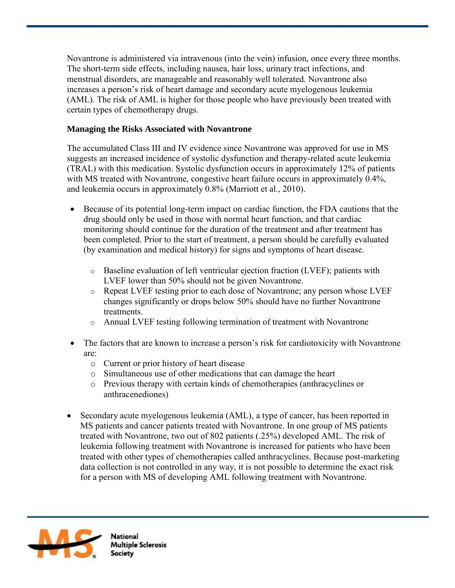Novantrone is administered via intravenous (into the vein) infusion, once every three months. The short-term side effects, including nausea, hair loss, urinary tract infections, and menstrual disorders, are manageable and reasonably well tolerated. Novantrone also increases a person's risk of heart damage and secondary acute myelogenous leukemia (AML). The risk of AML is higher for those people who have previously been treated with certain types of chemotherapy drugs.

# **Managing the Risks Associated with Novantrone**

 The accumulated Class III and IV evidence since Novantrone was approved for use in MS suggests an increased incidence of systolic dysfunction and therapy-related acute leukemia (TRAL) with this medication. Systolic dysfunction occurs in approximately 12% of patients with MS treated with Novantrone, congestive heart failure occurs in approximately 0.4%, and leukemia occurs in approximately 0.8% (Marriott et al., 2010).

- Because of its potential long-term impact on cardiac function, the FDA cautions that the drug should only be used in those with normal heart function, and that cardiac monitoring should continue for the duration of the treatment and after treatment has been completed. Prior to the start of treatment, a person should be carefully evaluated (by examination and medical history) for signs and symptoms of heart disease.
	- $\circ$  Baseline evaluation of left ventricular ejection fraction (LVEF); patients with LVEF lower than 50% should not be given Novantrone.
	- o Repeat LVEF testing prior to each dose of Novantrone; any person whose LVEF changes significantly or drops below 50% should have no further Novantrone treatments.
	- o Annual LVEF testing following termination of treatment with Novantrone
- The factors that are known to increase a person's risk for cardiotoxicity with Novantrone are:
	- o Current or prior history of heart disease
	- o Simultaneous use of other medications that can damage the heart
	- o Previous therapy with certain kinds of chemotherapies (anthracyclines or anthracenediones)
- Secondary acute myelogenous leukemia (AML), a type of cancer, has been reported in MS patients and cancer patients treated with Novantrone. In one group of MS patients treated with Novantrone, two out of 802 patients (.25%) developed AML. The risk of leukemia following treatment with Novantrone is increased for patients who have been treated with other types of chemotherapies called anthracyclines. Because post-marketing data collection is not controlled in any way, it is not possible to determine the exact risk for a person with MS of developing AML following treatment with Novantrone.